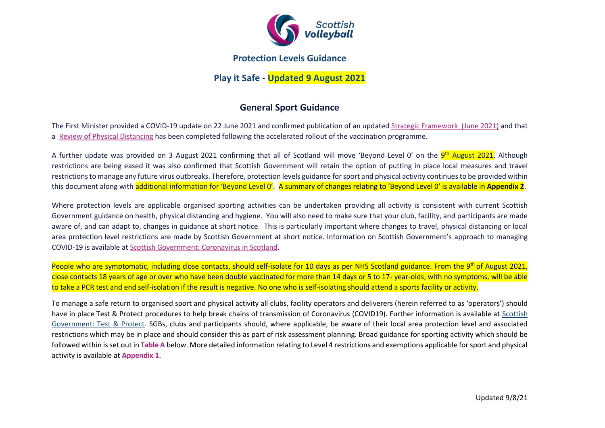

## **Protection Levels Guidance**

**Play it Safe - Updated 9 August 2021**

# **General Sport Guidance**

The First Minister provided a COVID-19 update on 22 June 2021 and confirmed publication of an updated [Strategic Framework](https://www.gov.scot/publications/coronavirus-covid-19-scotlands-strategic-framework-update-june-2021/) (June 2021) and that a [Review of Physical Distancing](https://www.gov.scot/publications/coronavirus-covid-19-review-physical-distancing-scotland-june-2021/) has been completed following the accelerated rollout of the vaccination programme.

A further update was provided on 3 August 2021 confirming that all of Scotland will move 'Beyond Level O' on the <mark>9<sup>th</sup> August 2021</mark>. Although restrictions are being eased it was also confirmed that Scottish Government will retain the option of putting in place local measures and travel restrictions to manage any future virus outbreaks. Therefore, protection levels guidance for sport and physical activity continues to be provided within this document along with additional information for 'Beyond Level 0'. A summary of changes relating to 'Beyond Level 0' is available in **Appendix 2**.

Where protection levels are applicable organised sporting activities can be undertaken providing all activity is consistent with current Scottish Government guidance on health, physical distancing and hygiene. You will also need to make sure that your club, facility, and participants are made aware of, and can adapt to, changes in guidance at short notice. This is particularly important where changes to travel, physical distancing or local area protection level restrictions are made by Scottish Government at short notice. Information on Scottish Government's approach to managing COVID-19 is available at [Scottish Government: Coronavirus in Scotland.](http://www.gov.scot/coronavirus-covid-19/)

People who are symptomatic, including close contacts, should self-isolate for 10 days as per NHS Scotland guidance. From the 9<sup>th</sup> of August 2021, close contacts 18 years of age or over who have been double vaccinated for more than 14 days or 5 to 17- year-olds, with no symptoms, will be able to take a PCR test and end self-isolation if the result is negative. No one who is self-isolating should attend a sports facility or activity.

To manage a safe return to organised sport and physical activity all clubs, facility operators and deliverers (herein referred to as 'operators') should have in place Test & Protect procedures to help break chains of transmission of Coronavirus (COVID19). Further information is available at [Scottish](https://www.gov.scot/publications/coronavirus-covid-19-test-and-protect/)  [Government: Test & Protect.](https://www.gov.scot/publications/coronavirus-covid-19-test-and-protect/) SGBs, clubs and participants should, where applicable, be aware of their local area protection level and associated restrictions which may be in place and should consider this as part of risk assessment planning. Broad guidance for sporting activity which should be followed within is set out in **Table A** below. More detailed information relating to Level 4 restrictions and exemptions applicable for sport and physical activity is available at **Appendix 1**.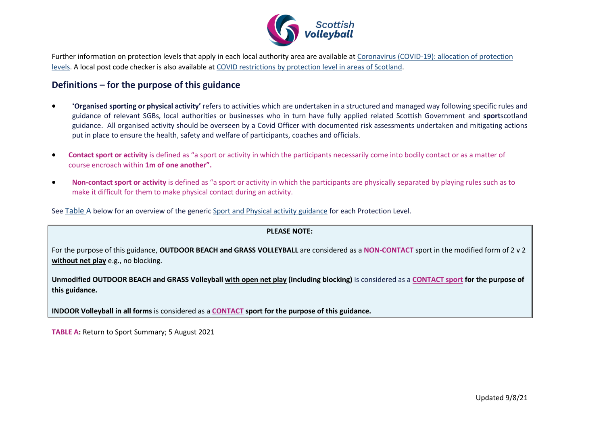

Further information on protection levels that apply in each local authority area are available at [Coronavirus \(COVID-19\): allocation of protection](https://www.gov.scot/publications/coronavirus-covid-19-protection-levels/)  [levels.](https://www.gov.scot/publications/coronavirus-covid-19-protection-levels/) A local post code checker is also available at [COVID restrictions by protection level in areas of Scotland.](https://www.gov.scot/publications/coronavirus-covid-19-staying-safe-and-protecting-others/)

## **Definitions – for the purpose of this guidance**

- **'Organised sporting or physical activity'** refers to activities which are undertaken in a structured and managed way following specific rules and guidance of relevant SGBs, local authorities or businesses who in turn have fully applied related Scottish Government and **sport**scotland guidance. All organised activity should be overseen by a Covid Officer with documented risk assessments undertaken and mitigating actions put in place to ensure the health, safety and welfare of participants, coaches and officials.
- **Contact sport or activity** is defined as "a sport or activity in which the participants necessarily come into bodily contact or as a matter of course encroach within **1m of one another".**
- **Non-contact sport or activity** is defined as "a sport or activity in which the participants are physically separated by playing rules such as to make it difficult for them to make physical contact during an activity.

See Table A below for an overview of the generi[c Sport and Physical activity guidance](https://sportscotland.org.uk/covid-19/latest-sport-and-physical-activity-guidance/) for each Protection Level.

### **PLEASE NOTE:**

For the purpose of this guidance, **OUTDOOR BEACH and GRASS VOLLEYBALL** are considered as a **NON-CONTACT** sport in the modified form of 2 v 2 **without net play** e.g., no blocking.

**Unmodified OUTDOOR BEACH and GRASS Volleyball with open net play (including blocking)** is considered as a **CONTACT sport for the purpose of this guidance.**

**INDOOR Volleyball in all forms** is considered as a **CONTACT sport for the purpose of this guidance.**

**TABLE A:** Return to Sport Summary; 5 August 2021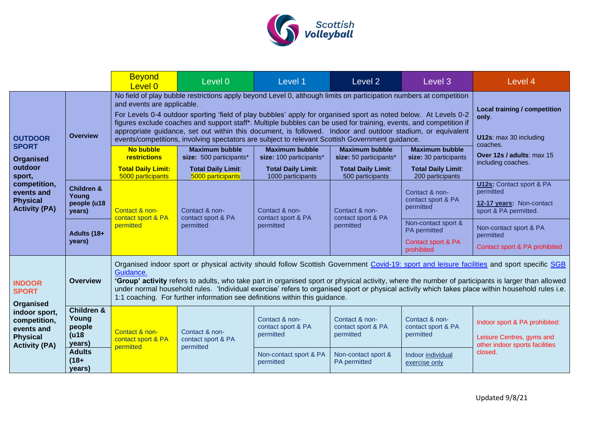

|                                                                                                                                                  |                                                             | <b>Beyond</b><br>Level 0                                                                                                                                                                                                                                                                                                                                                                                                                                                                                                                                                                                  | Level 0                                                                       | Level 1                                                                       | Level <sub>2</sub>                                                           | Level 3                                                                     | Level 4                                                                                               |  |
|--------------------------------------------------------------------------------------------------------------------------------------------------|-------------------------------------------------------------|-----------------------------------------------------------------------------------------------------------------------------------------------------------------------------------------------------------------------------------------------------------------------------------------------------------------------------------------------------------------------------------------------------------------------------------------------------------------------------------------------------------------------------------------------------------------------------------------------------------|-------------------------------------------------------------------------------|-------------------------------------------------------------------------------|------------------------------------------------------------------------------|-----------------------------------------------------------------------------|-------------------------------------------------------------------------------------------------------|--|
| <b>OUTDOOR</b><br><b>SPORT</b><br><b>Organised</b><br>outdoor<br>sport,<br>competition,<br>events and<br><b>Physical</b><br><b>Activity (PA)</b> | <b>Overview</b>                                             | No field of play bubble restrictions apply beyond Level 0, although limits on participation numbers at competition<br>and events are applicable.<br>For Levels 0-4 outdoor sporting 'field of play bubbles' apply for organised sport as noted below. At Levels 0-2<br>figures exclude coaches and support staff*. Multiple bubbles can be used for training, events, and competition if<br>appropriate guidance, set out within this document, is followed. Indoor and outdoor stadium, or equivalent<br>events/competitions, involving spectators are subject to relevant Scottish Government guidance. | <b>Local training / competition</b><br>only.<br>U12s: max 30 including        |                                                                               |                                                                              |                                                                             |                                                                                                       |  |
|                                                                                                                                                  |                                                             | <b>No bubble</b><br><b>restrictions</b><br><b>Total Daily Limit:</b>                                                                                                                                                                                                                                                                                                                                                                                                                                                                                                                                      | <b>Maximum bubble</b><br>size: 500 participants*<br><b>Total Daily Limit:</b> | <b>Maximum bubble</b><br>size: 100 participants*<br><b>Total Daily Limit:</b> | <b>Maximum bubble</b><br>size: 50 participants*<br><b>Total Daily Limit:</b> | <b>Maximum bubble</b><br>size: 30 participants<br><b>Total Daily Limit:</b> | coaches.<br>Over 12s / adults: max 15<br>including coaches.                                           |  |
|                                                                                                                                                  | <b>Children &amp;</b><br>Young<br>people (u18<br>years)     | 5000 participants<br>Contact & non-<br>contact sport & PA<br>permitted                                                                                                                                                                                                                                                                                                                                                                                                                                                                                                                                    | 5000 participants<br>Contact & non-<br>contact sport & PA<br>permitted        | 1000 participants<br>Contact & non-<br>contact sport & PA<br>permitted        | 500 participants<br>Contact & non-<br>contact sport & PA<br>permitted        | 200 participants<br>Contact & non-<br>contact sport & PA<br>permitted       | <b>U12s: Contact sport &amp; PA</b><br>permitted<br>12-17 years: Non-contact<br>sport & PA permitted. |  |
|                                                                                                                                                  | Adults (18+<br>years)                                       |                                                                                                                                                                                                                                                                                                                                                                                                                                                                                                                                                                                                           |                                                                               |                                                                               |                                                                              | Non-contact sport &<br>PA permitted<br>Contact sport & PA<br>prohibited     | Non-contact sport & PA<br>permitted<br>Contact sport & PA prohibited                                  |  |
| <b>INDOOR</b><br><b>SPORT</b><br>Organised<br>indoor sport,<br>competition,<br>events and<br><b>Physical</b><br><b>Activity (PA)</b>             | <b>Overview</b>                                             | Organised indoor sport or physical activity should follow Scottish Government Covid-19: sport and leisure facilities and sport specific SGB<br>Guidance.<br>'Group' activity refers to adults, who take part in organised sport or physical activity, where the number of participants is larger than allowed<br>under normal household rules. 'Individual exercise' refers to organised sport or physical activity which takes place within household rules i.e.<br>1:1 coaching. For further information see definitions within this guidance.                                                          |                                                                               |                                                                               |                                                                              |                                                                             |                                                                                                       |  |
|                                                                                                                                                  | <b>Children &amp;</b><br>Young<br>people<br>(418)<br>years) | Contact & non-<br>contact sport & PA<br>permitted                                                                                                                                                                                                                                                                                                                                                                                                                                                                                                                                                         | Contact & non-<br>contact sport & PA<br>permitted                             | Contact & non-<br>contact sport & PA<br>permitted                             | Contact & non-<br>contact sport & PA<br>permitted                            | Contact & non-<br>contact sport & PA<br>permitted                           | Indoor sport & PA prohibited:<br>Leisure Centres, gyms and<br>other indoor sports facilities          |  |
|                                                                                                                                                  | <b>Adults</b><br>$(18+)$<br>years)                          |                                                                                                                                                                                                                                                                                                                                                                                                                                                                                                                                                                                                           |                                                                               | Non-contact sport & PA<br>permitted                                           | Non-contact sport &<br>PA permitted                                          | Indoor individual<br>exercise only                                          | closed.                                                                                               |  |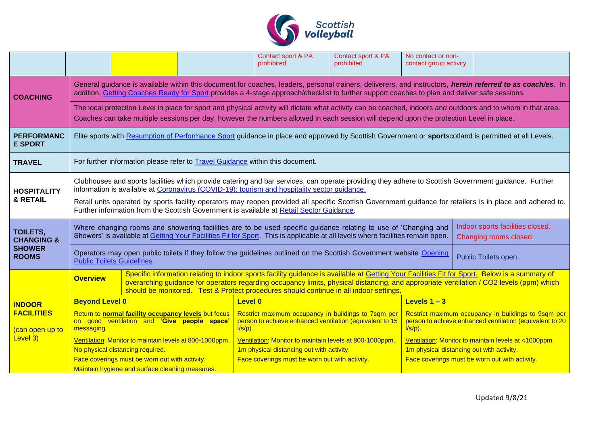

|                                          |                                                                                                                                                                                                                                                                                                                                                                                                                                                                                                                |                                                 |  | Contact sport & PA<br>prohibited                                                                                              | Contact sport & PA<br>prohibited          | No contact or non-<br>contact group activity                                                                                  |                                                      |  |
|------------------------------------------|----------------------------------------------------------------------------------------------------------------------------------------------------------------------------------------------------------------------------------------------------------------------------------------------------------------------------------------------------------------------------------------------------------------------------------------------------------------------------------------------------------------|-------------------------------------------------|--|-------------------------------------------------------------------------------------------------------------------------------|-------------------------------------------|-------------------------------------------------------------------------------------------------------------------------------|------------------------------------------------------|--|
| <b>COACHING</b>                          | General guidance is available within this document for coaches, leaders, personal trainers, deliverers, and instructors, herein referred to as coach/es. In<br>addition, Getting Coaches Ready for Sport provides a 4-stage approach/checklist to further support coaches to plan and deliver safe sessions.                                                                                                                                                                                                   |                                                 |  |                                                                                                                               |                                           |                                                                                                                               |                                                      |  |
|                                          | The local protection Level in place for sport and physical activity will dictate what activity can be coached, indoors and outdoors and to whom in that area.<br>Coaches can take multiple sessions per day, however the numbers allowed in each session will depend upon the protection Level in place.                                                                                                                                                                                                       |                                                 |  |                                                                                                                               |                                           |                                                                                                                               |                                                      |  |
| <b>PERFORMANC</b><br><b>E SPORT</b>      | Elite sports with Resumption of Performance Sport guidance in place and approved by Scottish Government or sportscotland is permitted at all Levels.                                                                                                                                                                                                                                                                                                                                                           |                                                 |  |                                                                                                                               |                                           |                                                                                                                               |                                                      |  |
| <b>TRAVEL</b>                            | For further information please refer to <b>Travel Guidance</b> within this document.                                                                                                                                                                                                                                                                                                                                                                                                                           |                                                 |  |                                                                                                                               |                                           |                                                                                                                               |                                                      |  |
| <b>HOSPITALITY</b><br>& RETAIL           | Clubhouses and sports facilities which provide catering and bar services, can operate providing they adhere to Scottish Government guidance. Further<br>information is available at Coronavirus (COVID-19): tourism and hospitality sector guidance.<br>Retail units operated by sports facility operators may reopen provided all specific Scottish Government guidance for retailers is in place and adhered to.<br>Further information from the Scottish Government is available at Retail Sector Guidance. |                                                 |  |                                                                                                                               |                                           |                                                                                                                               |                                                      |  |
| <b>TOILETS,</b><br><b>CHANGING &amp;</b> | Indoor sports facilities closed.<br>Where changing rooms and showering facilities are to be used specific guidance relating to use of 'Changing and<br>Showers' is available at Getting Your Facilities Fit for Sport. This is applicable at all levels where facilities remain open.<br>Changing rooms closed.                                                                                                                                                                                                |                                                 |  |                                                                                                                               |                                           |                                                                                                                               |                                                      |  |
| <b>SHOWER</b><br><b>ROOMS</b>            | Operators may open public toilets if they follow the guidelines outlined on the Scottish Government website Opening<br>Public Toilets open.<br><b>Public Toilets Guidelines</b>                                                                                                                                                                                                                                                                                                                                |                                                 |  |                                                                                                                               |                                           |                                                                                                                               |                                                      |  |
|                                          | Specific information relating to indoor sports facility guidance is available at Getting Your Facilities Fit for Sport. Below is a summary of<br><b>Overview</b><br>overarching guidance for operators regarding occupancy limits, physical distancing, and appropriate ventilation / CO2 levels (ppm) which<br>should be monitored. Test & Protect procedures should continue in all indoor settings.                                                                                                         |                                                 |  |                                                                                                                               |                                           |                                                                                                                               |                                                      |  |
| <b>INDOOR</b>                            | <b>Beyond Level 0</b>                                                                                                                                                                                                                                                                                                                                                                                                                                                                                          |                                                 |  | <b>Level 0</b>                                                                                                                |                                           | Levels $1 - 3$                                                                                                                |                                                      |  |
| <b>FACILITIES</b><br>(can open up to     | Return to normal facility occupancy levels but focus<br>on good ventilation and 'Give people space'<br>messaging.                                                                                                                                                                                                                                                                                                                                                                                              |                                                 |  | Restrict maximum occupancy in buildings to 7sqm per<br>person to achieve enhanced ventilation (equivalent to 15<br>$I/s/p$ ). |                                           | Restrict maximum occupancy in buildings to 9sqm per<br>person to achieve enhanced ventilation (equivalent to 20<br>$I/s/p$ ). |                                                      |  |
| Level 3)                                 | Ventilation: Monitor to maintain levels at 800-1000ppm.                                                                                                                                                                                                                                                                                                                                                                                                                                                        |                                                 |  | Ventilation: Monitor to maintain levels at 800-1000ppm.                                                                       |                                           |                                                                                                                               | Ventilation: Monitor to maintain levels at <1000ppm. |  |
|                                          |                                                                                                                                                                                                                                                                                                                                                                                                                                                                                                                | No physical distancing required.                |  |                                                                                                                               | 1m physical distancing out with activity. |                                                                                                                               | 1m physical distancing out with activity.            |  |
|                                          | Face coverings must be worn out with activity.                                                                                                                                                                                                                                                                                                                                                                                                                                                                 |                                                 |  | Face coverings must be worn out with activity.                                                                                |                                           | Face coverings must be worn out with activity.                                                                                |                                                      |  |
|                                          |                                                                                                                                                                                                                                                                                                                                                                                                                                                                                                                | Maintain hygiene and surface cleaning measures. |  |                                                                                                                               |                                           |                                                                                                                               |                                                      |  |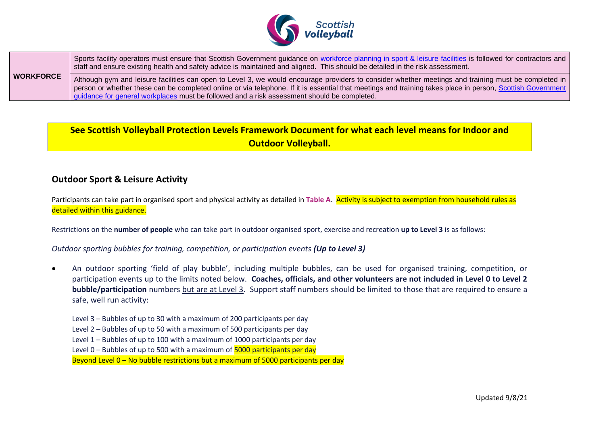

|                  | Sports facility operators must ensure that Scottish Government guidance on workforce planning in sport & leisure facilities is followed for contractors and<br>staff and ensure existing health and safety advice is maintained and aligned. This should be detailed in the risk assessment.                                                                                                                      |
|------------------|-------------------------------------------------------------------------------------------------------------------------------------------------------------------------------------------------------------------------------------------------------------------------------------------------------------------------------------------------------------------------------------------------------------------|
| <b>WORKFORCE</b> | Although gym and leisure facilities can open to Level 3, we would encourage providers to consider whether meetings and training must be completed in<br>person or whether these can be completed online or via telephone. If it is essential that meetings and training takes place in person, Scottish Government<br>guidance for general workplaces must be followed and a risk assessment should be completed. |

# **See Scottish Volleyball Protection Levels Framework Document for what each level means for Indoor and Outdoor Volleyball.**

## **Outdoor Sport & Leisure Activity**

Participants can take part in organised sport and physical activity as detailed in **Table A**. Activity is subject to exemption from household rules as detailed within this guidance.

Restrictions on the **number of people** who can take part in outdoor organised sport, exercise and recreation **up to Level 3** is as follows:

### *Outdoor sporting bubbles for training, competition, or participation events (Up to Level 3)*

• An outdoor sporting 'field of play bubble', including multiple bubbles, can be used for organised training, competition, or participation events up to the limits noted below. **Coaches, officials, and other volunteers are not included in Level 0 to Level 2 bubble/participation** numbers but are at Level 3. Support staff numbers should be limited to those that are required to ensure a safe, well run activity:

Level 3 – Bubbles of up to 30 with a maximum of 200 participants per day

Level 2 – Bubbles of up to 50 with a maximum of 500 participants per day

Level 1 – Bubbles of up to 100 with a maximum of 1000 participants per day

Level  $0$  – Bubbles of up to 500 with a maximum of  $5000$  participants per day

Beyond Level 0 – No bubble restrictions but a maximum of 5000 participants per day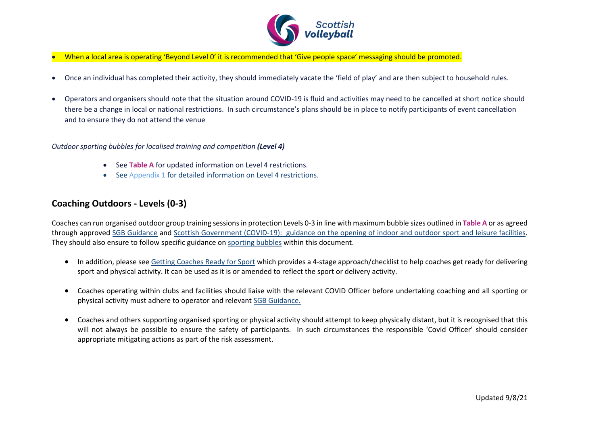

- When a local area is operating 'Beyond Level 0' it is recommended that 'Give people space' messaging should be promoted.
- Once an individual has completed their activity, they should immediately vacate the 'field of play' and are then subject to household rules.
- Operators and organisers should note that the situation around COVID-19 is fluid and activities may need to be cancelled at short notice should there be a change in local or national restrictions. In such circumstance's plans should be in place to notify participants of event cancellation and to ensure they do not attend the venue

#### *Outdoor sporting bubbles for localised training and competition (Level 4)*

- See **Table A** for updated information on Level 4 restrictions.
- See [Appendix 1](#page-15-0) for detailed information on Level 4 restrictions.

### **Coaching Outdoors - Levels (0-3)**

Coaches can run organised outdoor group training sessions in protection Levels 0-3 in line with maximum bubble sizes outlined in **Table A** or as agreed through approved [SGB Guidance](https://sportscotland.org.uk/covid-19/latest-sport-and-physical-activity-guidance/) and [Scottish Government \(COVID-19\): guidance on the opening of indoor and outdoor sport and leisure facilities.](http://www.gov.scot/publications/coronavirus-covid-19-guidance-on-sport-and-leisure-facilities) They should also ensure to follow specific guidance on sporting bubbles within this document.

- In addition, please see [Getting Coaches](http://www.sportscotland.org.uk/covid-19/getting-your-coaches-ready-for-sport/) Ready for Sport which provides a 4-stage approach/checklist to help coaches get ready for delivering sport and physical activity. It can be used as it is or amended to reflect the sport or delivery activity.
- Coaches operating within clubs and facilities should liaise with the relevant COVID Officer before undertaking coaching and all sporting or physical activity must adhere to operator and relevant [SGB Guidance.](https://sportscotland.org.uk/covid-19/latest-sport-and-physical-activity-guidance/)
- Coaches and others supporting organised sporting or physical activity should attempt to keep physically distant, but it is recognised that this will not always be possible to ensure the safety of participants. In such circumstances the responsible 'Covid Officer' should consider appropriate mitigating actions as part of the risk assessment.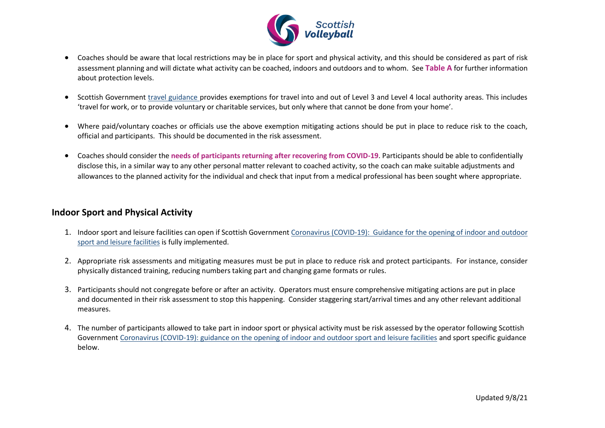

- Coaches should be aware that local restrictions may be in place for sport and physical activity, and this should be considered as part of risk assessment planning and will dictate what activity can be coached, indoors and outdoors and to whom. See **Table A** for further information about protection levels.
- Scottish Government [travel guidance](https://www.gov.scot/publications/coronavirus-covid-19-guidance-on-travel-and-transport/) provides exemptions for travel into and out of Level 3 and Level 4 local authority areas. This includes 'travel for work, or to provide voluntary or charitable services, but only where that cannot be done from your home'.
- Where paid/voluntary coaches or officials use the above exemption mitigating actions should be put in place to reduce risk to the coach, official and participants. This should be documented in the risk assessment.
- Coaches should consider the **needs of participants returning after recovering from COVID-19**. Participants should be able to confidentially disclose this, in a similar way to any other personal matter relevant to coached activity, so the coach can make suitable adjustments and allowances to the planned activity for the individual and check that input from a medical professional has been sought where appropriate.

## **Indoor Sport and Physical Activity**

- 1. Indoor sport and leisure facilities can open if Scottish Government [Coronavirus \(COVID-19\): Guidance for the opening of indoor and outdoor](http://www.gov.scot/publications/coronavirus-covid-19-guidance-on-sport-and-leisure-facilities)  sport [and leisure facilities](http://www.gov.scot/publications/coronavirus-covid-19-guidance-on-sport-and-leisure-facilities) is fully implemented.
- 2. Appropriate risk assessments and mitigating measures must be put in place to reduce risk and protect participants. For instance, consider physically distanced training, reducing numbers taking part and changing game formats or rules.
- 3. Participants should not congregate before or after an activity. Operators must ensure comprehensive mitigating actions are put in place and documented in their risk assessment to stop this happening. Consider staggering start/arrival times and any other relevant additional measures.
- 4. The number of participants allowed to take part in indoor sport or physical activity must be risk assessed by the operator following Scottish Government [Coronavirus \(COVID-19\): guidance on the opening of indoor and outdoor sport and leisure facilities](http://www.gov.scot/publications/coronavirus-covid-19-guidance-on-sport-and-leisure-facilities) and sport specific guidance below.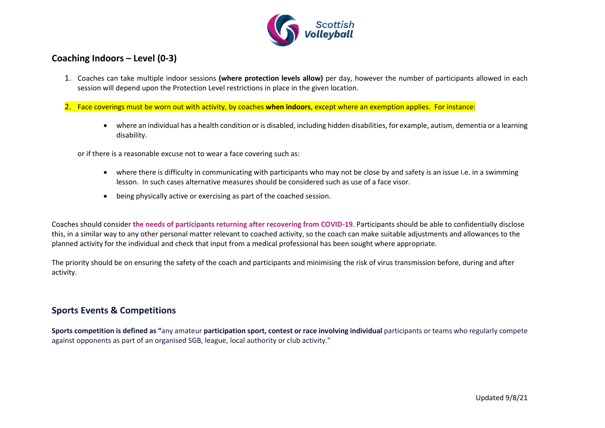

## **Coaching Indoors – Level (0-3)**

1. Coaches can take multiple indoor sessions **(where protection levels allow)** per day, however the number of participants allowed in each session will depend upon the Protection Level restrictions in place in the given location.

2. Face coverings must be worn out with activity, by coaches **when indoors**, except where an exemption applies. For instance:

• where an individual has a health condition or is disabled, including hidden disabilities, for example, autism, dementia or a learning disability.

or if there is a reasonable excuse not to wear a face covering such as:

- where there is difficulty in communicating with participants who may not be close by and safety is an issue i.e. in a swimming lesson. In such cases alternative measures should be considered such as use of a face visor.
- being physically active or exercising as part of the coached session.

Coaches should consider **the needs of participants returning after recovering from COVID-19**. Participants should be able to confidentially disclose this, in a similar way to any other personal matter relevant to coached activity, so the coach can make suitable adjustments and allowances to the planned activity for the individual and check that input from a medical professional has been sought where appropriate.

The priority should be on ensuring the safety of the coach and participants and minimising the risk of virus transmission before, during and after activity.

## **Sports Events & Competitions**

**Sports competition is defined as "**any amateur **participation sport, contest or race involving individual** participants or teams who regularly compete against opponents as part of an organised SGB, league, local authority or club activity."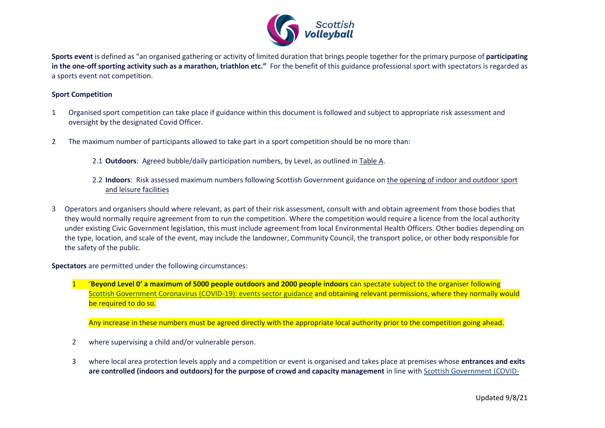

**Sports event** is defined as "an organised gathering or activity of limited duration that brings people together for the primary purpose of **participating in the one-off sporting activity such as a marathon, triathlon etc."** For the benefit of this guidance professional sport with spectators is regarded as a sports event not competition.

#### **Sport Competition**

- 1 Organised sport competition can take place if guidance within this document is followed and subject to appropriate risk assessment and oversight by the designated Covid Officer.
- 2 The maximum number of participants allowed to take part in a sport competition should be no more than:
	- 2.1 **Outdoors**: Agreed bubble/daily participation numbers, by Level, as outlined in Table A.
	- 2.2 **Indoors**: Risk assessed maximum numbers following Scottish Government guidance o[n the opening of indoor and outdoor sport](http://www.gov.scot/publications/coronavirus-covid-19-guidance-on-sport-and-leisure-facilities)  [and leisure facilities](http://www.gov.scot/publications/coronavirus-covid-19-guidance-on-sport-and-leisure-facilities)
- 3 Operators and organisers should where relevant, as part of their risk assessment, consult with and obtain agreement from those bodies that they would normally require agreement from to run the competition. Where the competition would require a licence from the local authority under existing Civic Government legislation, this must include agreement from local Environmental Health Officers. Other bodies depending on the type, location, and scale of the event, may include the landowner, Community Council, the transport police, or other body responsible for the safety of the public.

**Spectators** are permitted under the following circumstances:

1 '**Beyond Level 0' a maximum of 5000 people outdoors and 2000 people indoors** can spectate subject to the organiser following [Scottish Government Coronavirus \(COVID-19\): events sector guidance](http://www.gov.scot/publications/coronavirus-covid-19-events-sector-guidance) and obtaining relevant permissions, where they normally would be required to do so.

Any increase in these numbers must be agreed directly with the appropriate local authority prior to the competition going ahead.

- 2 where supervising a child and/or vulnerable person.
- 3 where local area protection levels apply and a competition or event is organised and takes place at premises whose **entrances and exits are controlled (indoors and outdoors) for the purpose of crowd and capacity management** in line wit[h Scottish Government \(COVID-](http://www.gov.scot/publications/coronavirus-covid-19-events-sector-guidance)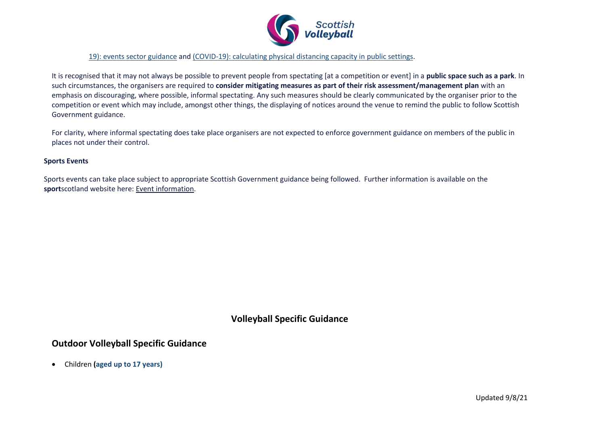

[19\): events sector guidance](http://www.gov.scot/publications/coronavirus-covid-19-events-sector-guidance) and [\(COVID-19\): calculating physical distancing capacity in public settings.](https://www.gov.scot/publications/coronavirus-covid-19-supporting-safer-capacity-in-public-settings-and-events/)

It is recognised that it may not always be possible to prevent people from spectating [at a competition or event] in a **public space such as a park**. In such circumstances, the organisers are required to **consider mitigating measures as part of their risk assessment/management plan** with an emphasis on discouraging, where possible, informal spectating. Any such measures should be clearly communicated by the organiser prior to the competition or event which may include, amongst other things, the displaying of notices around the venue to remind the public to follow Scottish Government guidance.

For clarity, where informal spectating does take place organisers are not expected to enforce government guidance on members of the public in places not under their control.

#### **Sports Events**

Sports events can take place subject to appropriate Scottish Government guidance being followed. Further information is available on the **sport**scotland website here: [Event information.](https://sportscotland.org.uk/covid-19/return-to-competitions-and-events/)

## **Volleyball Specific Guidance**

### **Outdoor Volleyball Specific Guidance**

• Children **(aged up to 17 years)**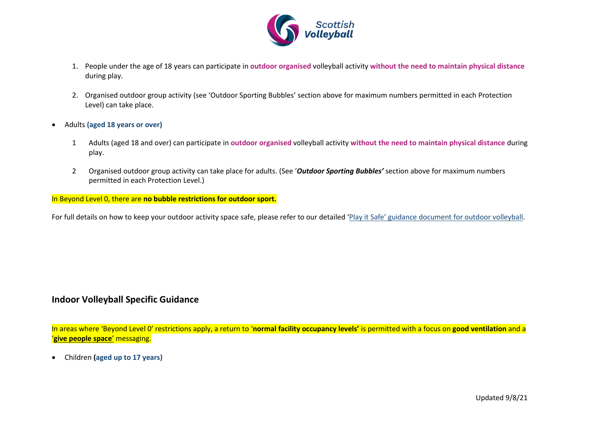

- 1. People under the age of 18 years can participate in **outdoor organised** volleyball activity **without the need to maintain physical distance** during play.
- 2. Organised outdoor group activity (see 'Outdoor Sporting Bubbles' section above for maximum numbers permitted in each Protection Level) can take place.
- Adults **(aged 18 years or over)**
	- 1 Adults (aged 18 and over) can participate in **outdoor organised** volleyball activity **without the need to maintain physical distance** during play.
	- 2 Organised outdoor group activity can take place for adults. (See '*Outdoor Sporting Bubbles'* section above for maximum numbers permitted in each Protection Level.)

In Beyond Level 0, there are **no bubble restrictions for outdoor sport.**

For full details on how to keep your outdoor activity space safe, please refer to our detailed 'Play it Safe' guidance document [for outdoor volleyball.](https://www.scottishvolleyball.org/wp-content/uploads/2020/12/SVA-COVID-19-Exit-Strategy-OUTDOOR-December-2020-FINAL.pdf)

### **Indoor Volleyball Specific Guidance**

In areas where 'Beyond Level 0' restrictions apply, a return to '**normal facility occupancy levels'** is permitted with a focus on **good ventilation** and a '**give people space**' messaging.

• Children **(aged up to 17 years)**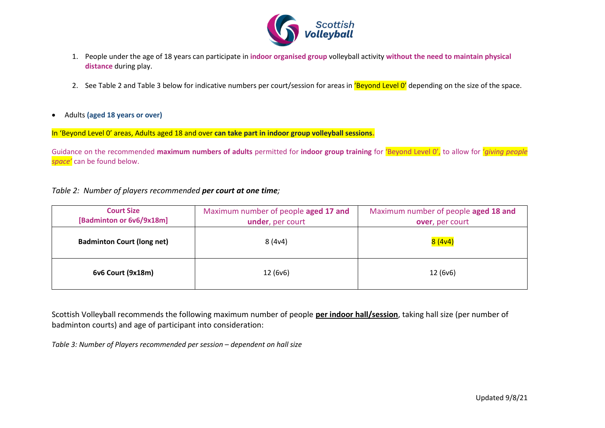

- 1. People under the age of 18 years can participate in **indoor organised group** volleyball activity **without the need to maintain physical distance** during play.
- 2. See Table 2 and Table 3 below for indicative numbers per court/session for areas in 'Beyond Level O' depending on the size of the space.
- Adults **(aged 18 years or over)**

In 'Beyond Level 0' areas, Adults aged 18 and over **can take part in indoor group volleyball sessions.** 

Guidance on the recommended **maximum numbers of adults** permitted for **indoor group training** for 'Beyond Level 0', to allow for '*giving people space'* can be found below.

### *Table 2: Number of players recommended per court at one time;*

| <b>Court Size</b><br>[Badminton or 6v6/9x18m] | Maximum number of people aged 17 and<br>under, per court | Maximum number of people aged 18 and<br>over, per court |  |
|-----------------------------------------------|----------------------------------------------------------|---------------------------------------------------------|--|
| <b>Badminton Court (long net)</b>             | 8(4v4)                                                   | 8(4v4)                                                  |  |
| 6v6 Court (9x18m)                             | 12 (6v6)                                                 | 12 (6v6)                                                |  |

Scottish Volleyball recommends the following maximum number of people **per indoor hall/session**, taking hall size (per number of badminton courts) and age of participant into consideration:

*Table 3: Number of Players recommended per session – dependent on hall size*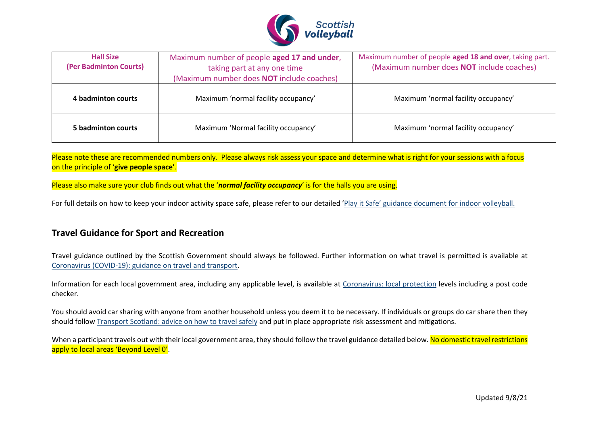

| <b>Hall Size</b><br>(Per Badminton Courts) | Maximum number of people aged 17 and under,<br>taking part at any one time<br>(Maximum number does NOT include coaches) | Maximum number of people aged 18 and over, taking part.<br>(Maximum number does NOT include coaches) |  |
|--------------------------------------------|-------------------------------------------------------------------------------------------------------------------------|------------------------------------------------------------------------------------------------------|--|
| 4 badminton courts                         | Maximum 'normal facility occupancy'                                                                                     | Maximum 'normal facility occupancy'                                                                  |  |
| 5 badminton courts                         | Maximum 'Normal facility occupancy'                                                                                     | Maximum 'normal facility occupancy'                                                                  |  |

Please note these are recommended numbers only. Please always risk assess your space and determine what is right for your sessions with a focus on the principle of '**give people space'**.

Please also make sure your club finds out what the '*normal facility occupancy*' is for the halls you are using.

For full details on how to keep your indoor activity space safe, please refer to our detailed 'Play [it Safe' guidance document for indoor volleyball.](https://www.scottishvolleyball.org/wp-content/uploads/2020/12/SVA-COVID-19-Exit-Strategy-INDOOR-December-2020-FINAL.pdf) 

### **Travel Guidance for Sport and Recreation**

Travel guidance outlined by the Scottish Government should always be followed. Further information on what travel is permitted is available at [Coronavirus \(COVID-19\): guidance on travel and transport.](https://www.gov.scot/publications/coronavirus-covid-19-guidance-on-travel-and-transport/)

Information for each local government area, including any applicable level, is available at [Coronavirus: local protection](http://www.gov.scot/publications/coronavirus-covid-19-protection-levels) levels including a post code checker.

You should avoid car sharing with anyone from another household unless you deem it to be necessary. If individuals or groups do car share then they should follow [Transport Scotland: advice on how to travel safely](https://www.transport.gov.scot/coronavirus-covid-19/advice-on-how-to-travel-safely/#section-63888) and put in place appropriate risk assessment and mitigations.

When a participant travels out with their local government area, they should follow the travel guidance detailed below. No domestic travel restrictions apply to local areas 'Beyond Level 0'.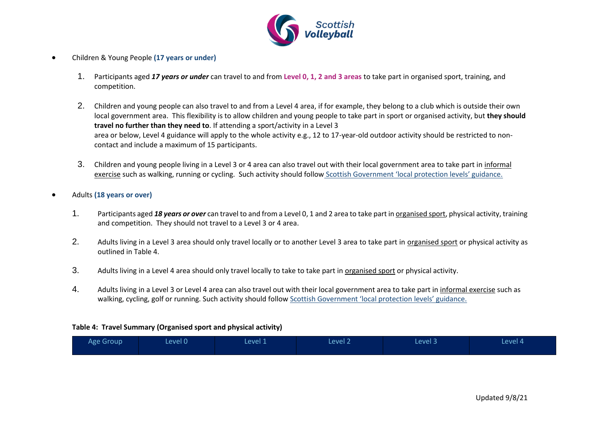

- Children & Young People **(17 years or under)**
	- 1. Participants aged *17 years or under* can travel to and from **Level 0, 1, 2 and 3 areas** to take part in organised sport, training, and competition.
	- 2. Children and young people can also travel to and from a Level 4 area, if for example, they belong to a club which is outside their own local government area. This flexibility is to allow children and young people to take part in sport or organised activity, but **they should travel no further than they need to**. If attending a sport/activity in a Level 3 area or below, Level 4 guidance will apply to the whole activity e.g., 12 to 17-year-old outdoor activity should be restricted to noncontact and include a maximum of 15 participants.
	- 3. Children and young people living in a Level 3 or 4 area can also travel out with their local government area to take part in informal exercise such as walking, running or cycling. Such activity should follow [Scottish Government 'local protection levels' guidance.](https://www.gov.scot/publications/coronavirus-covid-19-protection-levels/pages/protection-levels-by-area/)
- Adults **(18 years or over)**
	- 1. Participants aged *18 years or over* can travel to and from a Level 0, 1 and 2 area to take part in organised sport, physical activity, training and competition. They should not travel to a Level 3 or 4 area.
	- 2. Adults living in a Level 3 area should only travel locally or to another Level 3 area to take part in organised sport or physical activity as outlined in Table 4.
	- 3. Adults living in a Level 4 area should only travel locally to take to take part in organised sport or physical activity.
	- 4. Adults living in a Level 3 or Level 4 area can also travel out with their local government area to take part in informal exercise such as walking, cycling, golf or running. Such activity should follow [Scottish Government 'local protection levels' guidance.](https://www.gov.scot/publications/coronavirus-covid-19-stay-at-home-guidance/)

### **Table 4: Travel Summary (Organised sport and physical activity)**

| Age Group | Level 0 | Level 1 | Level 2 | Level 3 | Level 4 |
|-----------|---------|---------|---------|---------|---------|
|           |         |         |         |         |         |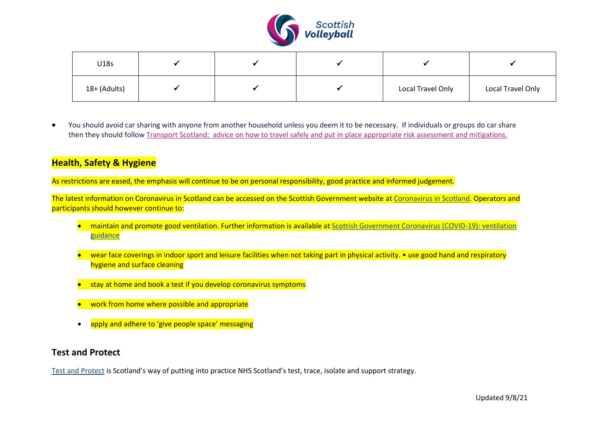

| U18s         |  |                   |                   |
|--------------|--|-------------------|-------------------|
| 18+ (Adults) |  | Local Travel Only | Local Travel Only |

• You should avoid car sharing with anyone from another household unless you deem it to be necessary. If individuals or groups do car share then they should follo[w Transport Scotland: advice on how to travel safely](http://www.transport.gov.scot/coronavirus-covid-19/transport-transition-plan/advice-on-how-to-travel-safely/#section-63888) and put in place appropriate risk assessment and mitigations.

## **Health, Safety & Hygiene**

As restrictions are eased, the emphasis will continue to be on personal responsibility, good practice and informed judgement.

The latest information on Coronavirus in Scotland can be accessed on the Scottish Government website at [Coronavirus in Scotland.](https://www.gov.scot/coronavirus-covid-19/) Operators and participants should however continue to:

- maintain and promote good ventilation. Further information is available at Scottish Government Coronavirus (COVID-19): ventilation [guidance](https://www.gov.scot/publications/coronavirus-covid-19-ventilation-guidance/pages/non-domestic-or-commercial-settings/)
- wear face coverings in indoor sport and leisure facilities when not taking part in physical activity. use good hand and respiratory hygiene and surface cleaning
- stay at home and book a test if you develop coronavirus symptoms
- work from home where possible and appropriate
- apply and adhere to 'give people space' messaging

### **Test and Protect**

[Test and Protect](https://www.nhsinform.scot/campaigns/test-and-protect) is Scotland's way of putting into practice NHS Scotland's test, trace, isolate and support strategy.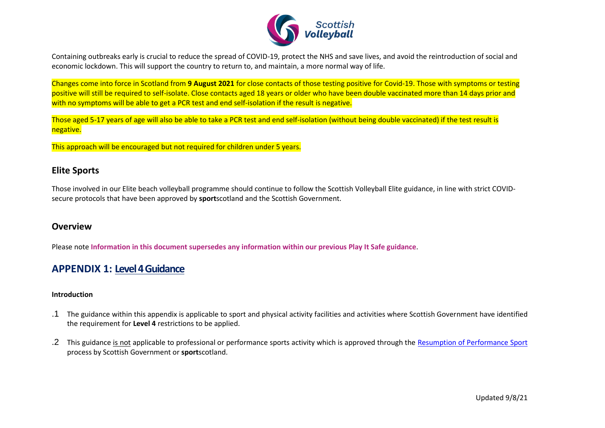

Containing outbreaks early is crucial to reduce the spread of COVID-19, protect the NHS and save lives, and avoid the reintroduction of social and economic lockdown. This will support the country to return to, and maintain, a more normal way of life.

Changes come into force in Scotland from **9 August 2021** for close contacts of those testing positive for Covid-19. Those with symptoms or testing positive will still be required to self-isolate. Close contacts aged 18 years or older who have been double vaccinated more than 14 days prior and with no symptoms will be able to get a PCR test and end self-isolation if the result is negative.

Those aged 5-17 years of age will also be able to take a PCR test and end self-isolation (without being double vaccinated) if the test result is negative.

This approach will be encouraged but not required for children under 5 years.

### **Elite Sports**

Those involved in our Elite beach volleyball programme should continue to follow the Scottish Volleyball Elite guidance, in line with strict COVIDsecure protocols that have been approved by **sport**scotland and the Scottish Government.

### **Overview**

Please note **Information in this document supersedes any information within our previous Play It Safe guidance**.

## <span id="page-15-0"></span>**APPENDIX 1: Level 4 Guidance**

### **Introduction**

- .1 The guidance within this appendix is applicable to sport and physical activity facilities and activities where Scottish Government have identified the requirement for **Level 4** restrictions to be applied.
- .2 This guidance is not applicable to professional or performance sports activity which is approved through the [Resumption of Performance Sport](https://sportscotland.org.uk/covid-19/resumption-of-performance-sport-guidance/) process by Scottish Government or **sport**scotland.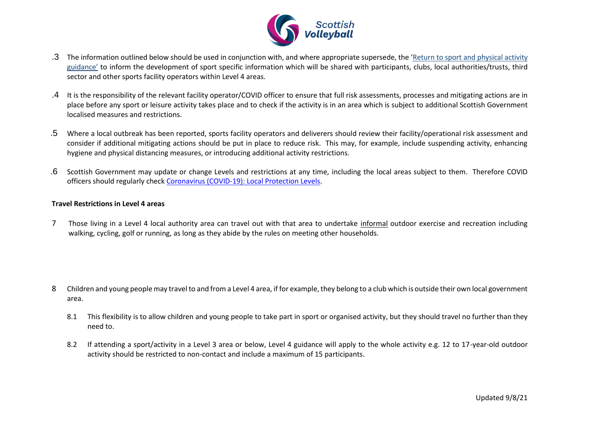

- .3 The information outlined below should be used in conjunction with, and where appropriate supersede, the 'Return to sport and physical activity guidance' to inform the development of sport specific information which will be shared with participants, clubs, local authorities/trusts, third sector and other sports facility operators within Level 4 areas.
- .4 It is the responsibility of the relevant facility operator/COVID officer to ensure that full risk assessments, processes and mitigating actions are in place before any sport or leisure activity takes place and to check if the activity is in an area which is subject to additional Scottish Government localised measures and restrictions.
- .5 Where a local outbreak has been reported, sports facility operators and deliverers should review their facility/operational risk assessment and consider if additional mitigating actions should be put in place to reduce risk. This may, for example, include suspending activity, enhancing hygiene and physical distancing measures, or introducing additional activity restrictions.
- .6 Scottish Government may update or change Levels and restrictions at any time, including the local areas subject to them. Therefore COVID officers should regularly chec[k Coronavirus \(COVID-19\): Local Protection Levels.](http://www.gov.scot/publications/coronavirus-covid-19-local-measures/)

### **Travel Restrictions in Level 4 areas**

7 Those living in a Level 4 local authority area can travel out with that area to undertake informal outdoor exercise and recreation including walking, cycling, golf or running, as long as they abide by the rules on meeting other households.

- 8 Children and young people may travel to and from a Level 4 area, if for example, they belong to a club which is outside their own local government area.
	- 8.1 This flexibility is to allow children and young people to take part in sport or organised activity, but they should travel no further than they need to.
	- 8.2 If attending a sport/activity in a Level 3 area or below, Level 4 guidance will apply to the whole activity e.g. 12 to 17-year-old outdoor activity should be restricted to non-contact and include a maximum of 15 participants.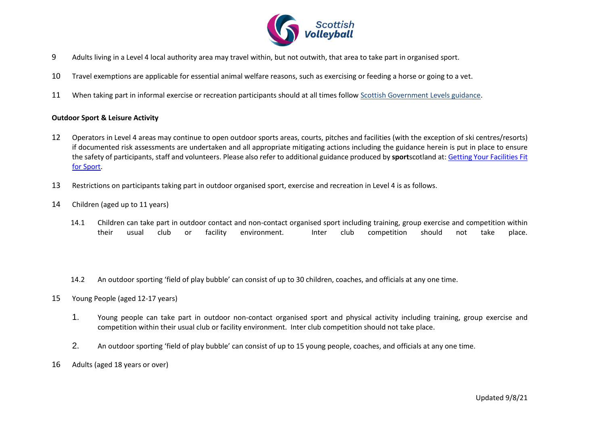

- 9 Adults living in a Level 4 local authority area may travel within, but not outwith, that area to take part in organised sport.
- 10 Travel exemptions are applicable for essential animal welfare reasons, such as exercising or feeding a horse or going to a vet.
- 11 When taking part in informal exercise or recreation participants should at all times follo[w Scottish Government Levels guidance.](https://www.gov.scot/publications/coronavirus-covid-19-stay-at-home-guidance/)

#### **Outdoor Sport & Leisure Activity**

- 12 Operators in Level 4 areas may continue to open outdoor sports areas, courts, pitches and facilities (with the exception of ski centres/resorts) if documented risk assessments are undertaken and all appropriate mitigating actions including the guidance herein is put in place to ensure the safety of participants, staff and volunteers. Please also refer to additional guidance produced by **sport**scotland at[: Getting Your Facilities Fit](http://www.sportscotland.org.uk/covid-19/getting-your-facilities-fit-for-sport/)  [for Sport.](http://www.sportscotland.org.uk/covid-19/getting-your-facilities-fit-for-sport/)
- 13 Restrictions on participants taking part in outdoor organised sport, exercise and recreation in Level 4 is as follows.
- 14 Children (aged up to 11 years)
	- 14.1 Children can take part in outdoor contact and non-contact organised sport including training, group exercise and competition within their usual club or facility environment. Inter club competition should not take place.
	- 14.2 An outdoor sporting 'field of play bubble' can consist of up to 30 children, coaches, and officials at any one time.
- 15 Young People (aged 12-17 years)
	- 1. Young people can take part in outdoor non-contact organised sport and physical activity including training, group exercise and competition within their usual club or facility environment. Inter club competition should not take place.
	- 2. An outdoor sporting 'field of play bubble' can consist of up to 15 young people, coaches, and officials at any one time.
- 16 Adults (aged 18 years or over)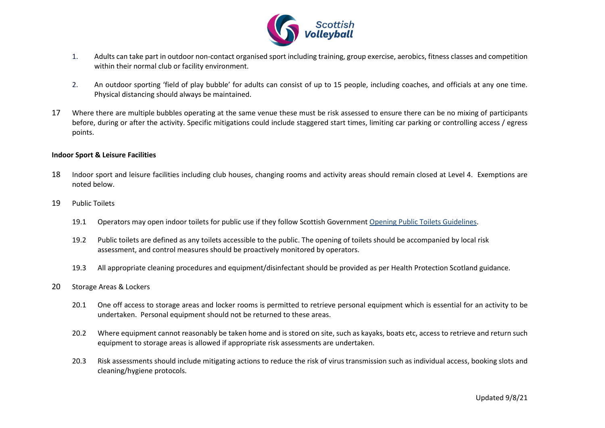

- 1. Adults can take part in outdoor non-contact organised sport including training, group exercise, aerobics, fitness classes and competition within their normal club or facility environment.
- 2. An outdoor sporting 'field of play bubble' for adults can consist of up to 15 people, including coaches, and officials at any one time. Physical distancing should always be maintained.
- 17 Where there are multiple bubbles operating at the same venue these must be risk assessed to ensure there can be no mixing of participants before, during or after the activity. Specific mitigations could include staggered start times, limiting car parking or controlling access / egress points.

#### **Indoor Sport & Leisure Facilities**

- 18 Indoor sport and leisure facilities including club houses, changing rooms and activity areas should remain closed at Level 4. Exemptions are noted below.
- 19 Public Toilets
	- 19.1 Operators may open indoor toilets for public use if they follow Scottish Government [Opening Public Toilets Guidelines.](https://protect-eu.mimecast.com/s/aBXuCNx63fxoygsmfSPz?domain=gov.scot/)
	- 19.2 Public toilets are defined as any toilets accessible to the public. The opening of toilets should be accompanied by local risk assessment, and control measures should be proactively monitored by operators.
	- 19.3 All appropriate cleaning procedures and equipment/disinfectant should be provided as per Health Protection Scotland guidance.
- 20 Storage Areas & Lockers
	- 20.1 One off access to storage areas and locker rooms is permitted to retrieve personal equipment which is essential for an activity to be undertaken. Personal equipment should not be returned to these areas.
	- 20.2 Where equipment cannot reasonably be taken home and is stored on site, such as kayaks, boats etc, access to retrieve and return such equipment to storage areas is allowed if appropriate risk assessments are undertaken.
	- 20.3 Risk assessments should include mitigating actions to reduce the risk of virus transmission such as individual access, booking slots and cleaning/hygiene protocols.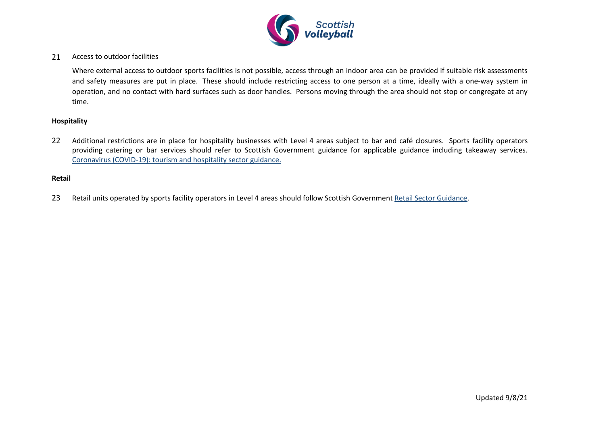

### 21 Access to outdoor facilities

Where external access to outdoor sports facilities is not possible, access through an indoor area can be provided if suitable risk assessments and safety measures are put in place. These should include restricting access to one person at a time, ideally with a one-way system in operation, and no contact with hard surfaces such as door handles. Persons moving through the area should not stop or congregate at any time.

#### **Hospitality**

22 Additional restrictions are in place for hospitality businesses with Level 4 areas subject to bar and café closures. Sports facility operators providing catering or bar services should refer to Scottish Government guidance for applicable guidance including takeaway services. [Coronavirus \(COVID-19\): tourism and hospitality sector guidance.](http://www.gov.scot/publications/coronavirus-covid-19-tourism-and-hospitality-sector-guidance/pages/hospitality-statutory-guidance/) 

#### **Retail**

23 Retail units operated by sports facility operators in Level 4 areas should follow Scottish Government [Retail Sector Guidance.](http://www.gov.scot/publications/coronavirus-covid-19-retail-sector-guidance/)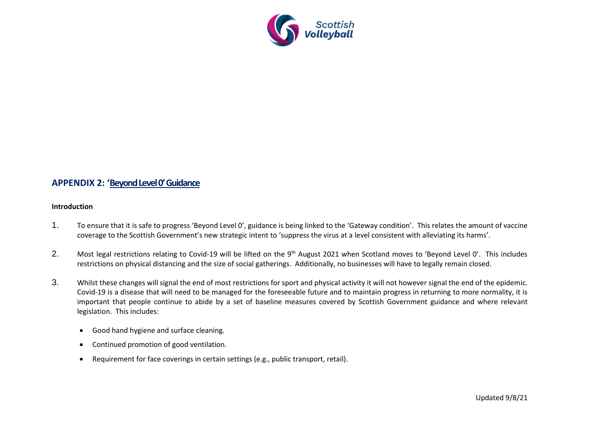

### **APPENDIX 2: 'Beyond Level 0' Guidance**

#### **Introduction**

- 1. To ensure that it is safe to progress 'Beyond Level 0', guidance is being linked to the 'Gateway condition'. This relates the amount of vaccine coverage to the Scottish Government's new strategic intent to 'suppress the virus at a level consistent with alleviating its harms'.
- 2. Most legal restrictions relating to Covid-19 will be lifted on the 9<sup>th</sup> August 2021 when Scotland moves to 'Bevond Level 0'. This includes restrictions on physical distancing and the size of social gatherings. Additionally, no businesses will have to legally remain closed.
- 3. Whilst these changes will signal the end of most restrictions for sport and physical activity it will not however signal the end of the epidemic. Covid-19 is a disease that will need to be managed for the foreseeable future and to maintain progress in returning to more normality, it is important that people continue to abide by a set of baseline measures covered by Scottish Government guidance and where relevant legislation. This includes:
	- Good hand hygiene and surface cleaning.
	- Continued promotion of good ventilation.
	- Requirement for face coverings in certain settings (e.g., public transport, retail).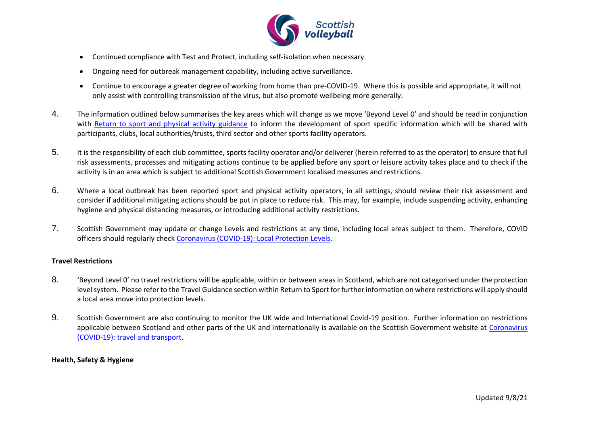

- Continued compliance with Test and Protect, including self-isolation when necessary.
- Ongoing need for outbreak management capability, including active surveillance.
- Continue to encourage a greater degree of working from home than pre-COVID-19. Where this is possible and appropriate, it will not only assist with controlling transmission of the virus, but also promote wellbeing more generally.
- 4. The information outlined below summarises the key areas which will change as we move 'Beyond Level 0' and should be read in conjunction with [Return to sport and physical activity guidance](https://sportscotland.org.uk/covid-19/latest-sport-and-physical-activity-guidance/) to inform the development of sport specific information which will be shared with participants, clubs, local authorities/trusts, third sector and other sports facility operators.
- 5. It is the responsibility of each club committee, sports facility operator and/or deliverer (herein referred to as the operator) to ensure that full risk assessments, processes and mitigating actions continue to be applied before any sport or leisure activity takes place and to check if the activity is in an area which is subject to additional Scottish Government localised measures and restrictions.
- 6. Where a local outbreak has been reported sport and physical activity operators, in all settings, should review their risk assessment and consider if additional mitigating actions should be put in place to reduce risk. This may, for example, include suspending activity, enhancing hygiene and physical distancing measures, or introducing additional activity restrictions.
- 7. Scottish Government may update or change Levels and restrictions at any time, including local areas subject to them. Therefore, COVID officers should regularly chec[k Coronavirus \(COVID-19\): Local Protection Levels.](http://www.gov.scot/publications/coronavirus-covid-19-local-measures/)

### **Travel Restrictions**

- 8. "Beyond Level 0' no travel restrictions will be applicable, within or between areas in Scotland, which are not categorised under the protection level system. Please refer to the Travel Guidance section within Return to Sport for further information on where restrictions will apply should a local area move into protection levels.
- 9. Scottish Government are also continuing to monitor the UK wide and International Covid-19 position. Further information on restrictions applicable between Scotland and other parts of the UK and internationally is available on the Scottish Government website at [Coronavirus](https://www.gov.scot/publications/coronavirus-covid-19-guidance-on-travel-and-transport/)  [\(COVID-19\): travel and transport.](https://www.gov.scot/publications/coronavirus-covid-19-guidance-on-travel-and-transport/)

### **Health, Safety & Hygiene**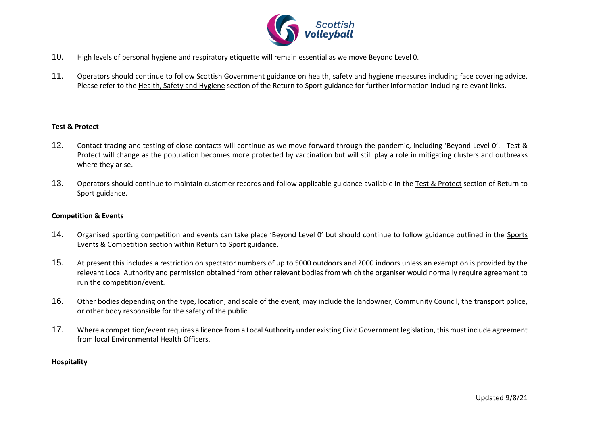

- 10. High levels of personal hygiene and respiratory etiquette will remain essential as we move Beyond Level 0.
- 11. Operators should continue to follow Scottish Government guidance on health, safety and hygiene measures including face covering advice. Please refer to the Health, Safety and Hygiene section of the Return to Sport guidance for further information including relevant links.

#### **Test & Protect**

- 12. Contact tracing and testing of close contacts will continue as we move forward through the pandemic, including 'Beyond Level 0'. Test & Protect will change as the population becomes more protected by vaccination but will still play a role in mitigating clusters and outbreaks where they arise.
- 13. Operators should continue to maintain customer records and follow applicable guidance available in the Test & Protect section of Return to Sport guidance.

#### **Competition & Events**

- 14. Organised sporting competition and events can take place 'Beyond Level 0' but should continue to follow guidance outlined in the Sports Events & Competition section within Return to Sport guidance.
- 15. At present this includes a restriction on spectator numbers of up to 5000 outdoors and 2000 indoors unless an exemption is provided by the relevant Local Authority and permission obtained from other relevant bodies from which the organiser would normally require agreement to run the competition/event.
- 16. Other bodies depending on the type, location, and scale of the event, may include the landowner, Community Council, the transport police, or other body responsible for the safety of the public.
- 17. Where a competition/event requires a licence from a Local Authority under existing Civic Government legislation, this must include agreement from local Environmental Health Officers.

#### **Hospitality**